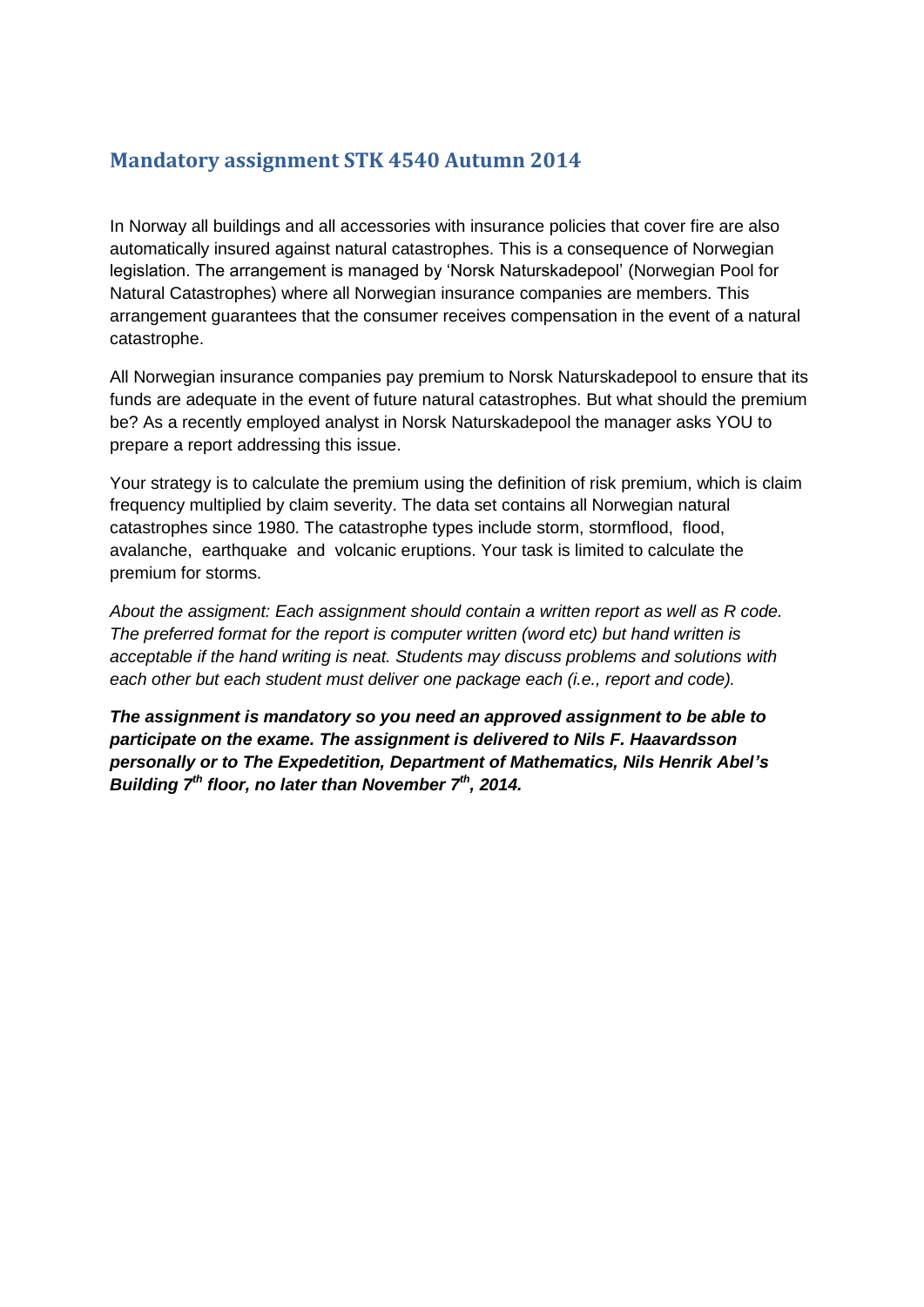#### **Mandatory assignment STK 4540 Autumn 2014**

In Norway all buildings and all accessories with insurance policies that cover fire are also automatically insured against natural catastrophes. This is a consequence of Norwegian legislation. The arrangement is managed by 'Norsk Naturskadepool' (Norwegian Pool for Natural Catastrophes) where all Norwegian insurance companies are members. This arrangement guarantees that the consumer receives compensation in the event of a natural catastrophe.

All Norwegian insurance companies pay premium to Norsk Naturskadepool to ensure that its funds are adequate in the event of future natural catastrophes. But what should the premium be? As a recently employed analyst in Norsk Naturskadepool the manager asks YOU to prepare a report addressing this issue.

Your strategy is to calculate the premium using the definition of risk premium, which is claim frequency multiplied by claim severity. The data set contains all Norwegian natural catastrophes since 1980. The catastrophe types include storm, stormflood, flood, avalanche, earthquake and volcanic eruptions. Your task is limited to calculate the premium for storms.

*About the assigment: Each assignment should contain a written report as well as R code. The preferred format for the report is computer written (word etc) but hand written is acceptable if the hand writing is neat. Students may discuss problems and solutions with each other but each student must deliver one package each (i.e., report and code).*

*The assignment is mandatory so you need an approved assignment to be able to participate on the exame. The assignment is delivered to Nils F. Haavardsson personally or to The Expedetition, Department of Mathematics, Nils Henrik Abel's Building 7th floor, no later than November 7th, 2014.*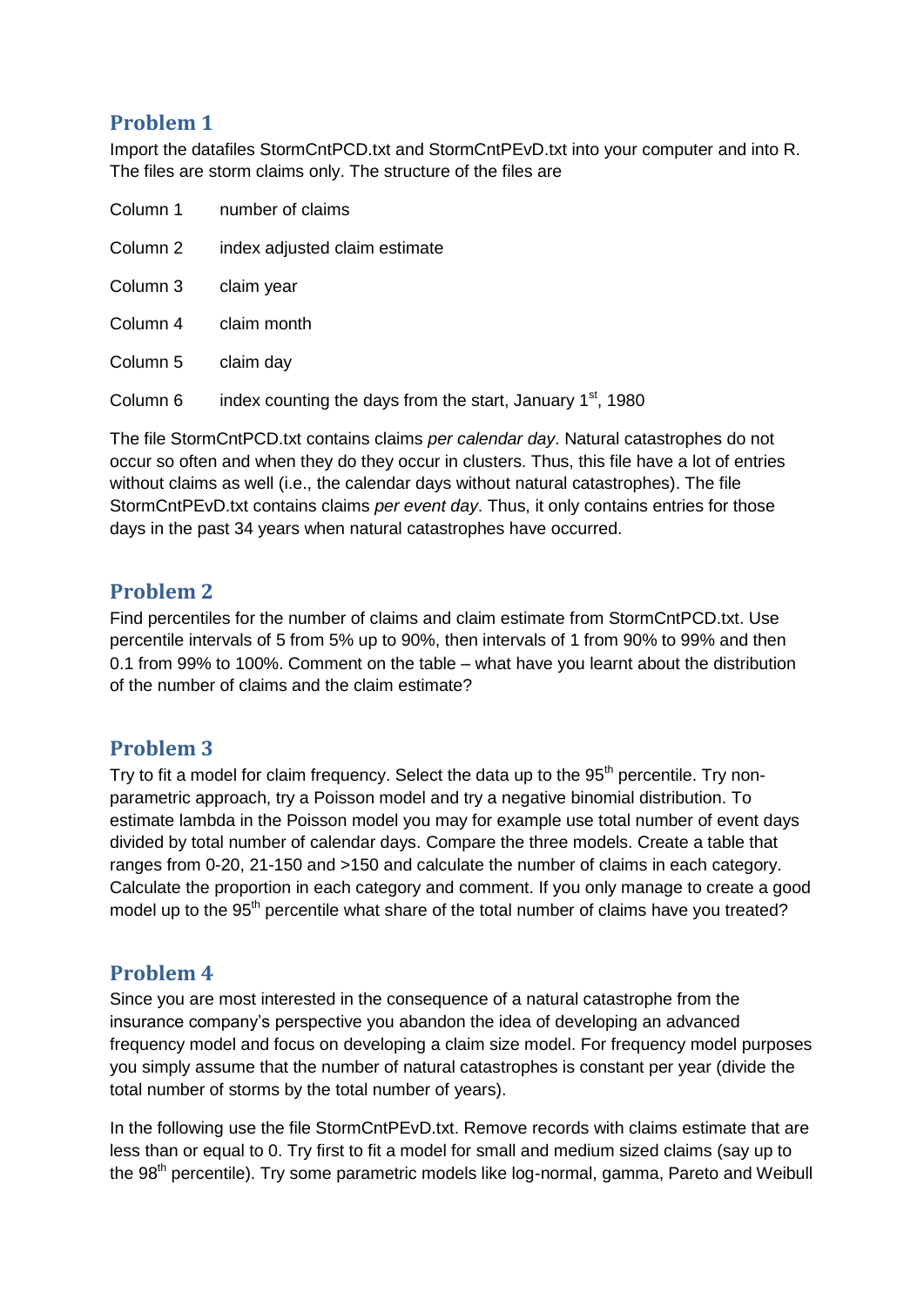# **Problem 1**

Import the datafiles StormCntPCD.txt and StormCntPEvD.txt into your computer and into R. The files are storm claims only. The structure of the files are

|          | Column 1 number of claims                                              |
|----------|------------------------------------------------------------------------|
| Column 2 | index adjusted claim estimate                                          |
| Column 3 | claim year                                                             |
| Column 4 | claim month                                                            |
| Column 5 | claim day                                                              |
| Column 6 | index counting the days from the start, January 1 <sup>st</sup> , 1980 |

The file StormCntPCD.txt contains claims *per calendar day*. Natural catastrophes do not occur so often and when they do they occur in clusters. Thus, this file have a lot of entries without claims as well (i.e., the calendar days without natural catastrophes). The file StormCntPEvD.txt contains claims *per event day*. Thus, it only contains entries for those days in the past 34 years when natural catastrophes have occurred.

#### **Problem 2**

Find percentiles for the number of claims and claim estimate from StormCntPCD.txt. Use percentile intervals of 5 from 5% up to 90%, then intervals of 1 from 90% to 99% and then 0.1 from 99% to 100%. Comment on the table – what have you learnt about the distribution of the number of claims and the claim estimate?

# **Problem 3**

Try to fit a model for claim frequency. Select the data up to the 95<sup>th</sup> percentile. Try nonparametric approach, try a Poisson model and try a negative binomial distribution. To estimate lambda in the Poisson model you may for example use total number of event days divided by total number of calendar days. Compare the three models. Create a table that ranges from 0-20, 21-150 and >150 and calculate the number of claims in each category. Calculate the proportion in each category and comment. If you only manage to create a good model up to the 95<sup>th</sup> percentile what share of the total number of claims have you treated?

# **Problem 4**

Since you are most interested in the consequence of a natural catastrophe from the insurance company's perspective you abandon the idea of developing an advanced frequency model and focus on developing a claim size model. For frequency model purposes you simply assume that the number of natural catastrophes is constant per year (divide the total number of storms by the total number of years).

In the following use the file StormCntPEvD.txt. Remove records with claims estimate that are less than or equal to 0. Try first to fit a model for small and medium sized claims (say up to the 98<sup>th</sup> percentile). Try some parametric models like log-normal, gamma, Pareto and Weibull